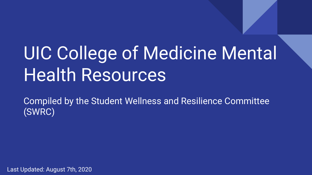# UIC College of Medicine Mental Health Resources

Compiled by the Student Wellness and Resilience Committee (SWRC)

Last Updated: August 7th, 2020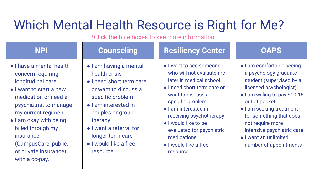## Which Mental Health Resource is Right for Me?

\*Click the blue boxes to see more information

- I have a mental health concern requiring longitudinal care
- I want to start a new medication or need a psychiatrist to manage my current regimen
- I am okay with being billed through my insurance (CampusCare, public, or private insurance) with a co-pay.

### NPI **NPI** Counseling

- Center<br>Center com ● I am having a mental health crisis
- I need short term care or want to discuss a specific problem
- I am interested in couples or group therapy
- I want a referral for longer-term care
- I would like a free resource

### Resiliency Center **National Property** OAPS

- I want to see someone who will not evaluate me later in medical school
- I need short term care or want to discuss a specific problem
- I am interested in receiving psychotherapy
- I would like to be evaluated for psychiatric medications
- I would like a free resource

- I am comfortable seeing a psychology graduate student (supervised by a licensed psychologist)
- I am willing to pay \$10-15 out of pocket
- I am seeking treatment for something that does not require more intensive psychiatric care
- I want an unlimited number of appointments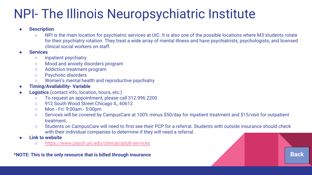### NPI- The Illinois Neuropsychiatric Institute

#### **Description**

○ NPI is the main location for psychiatric services at UIC. It is also one of the possible locations where M3 students rotate for their psychiatry rotation. They treat a wide array of mental illness and have psychiatrists, psychologists, and licensed clinical social workers on staff.

#### **Services**

- Inpatient psychiatry
- Mood and anxiety disorders program
- Addiction treatment program
- Psychotic disorders
- Women's mental health and reproductive psychiatry

#### **Timing/Availability- Variable**

- Logistics (contact info, location, hours, etc.)
	- To request an appointment, please call 312.996.2200
	- 912 South Wood Street Chicago IL, 60612
	- Mon Fri: 9:00am 5:00pm
	- Services will be covered by CampusCare at 100% minus \$50/day for inpatient treatment and \$15/visit for outpatient treatment.
	- Students on CampusCare will need to first see their PCP for a referral. Students with outside insurance should check with their individual companies to determine if they will need a referral.
- **Link to website** 
	- https://www.psych.uic.edu/clinical/adult-services

\*NOTE: This is the only resource that is billed through insurance **Back in the source of the source of the source** Back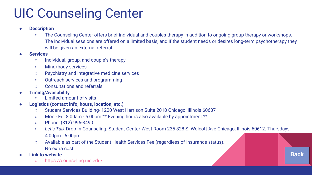### UIC Counseling Center

- **Description** 
	- The Counseling Center offers brief individual and couples therapy in addition to ongoing group therapy or workshops. The individual sessions are offered on a limited basis, and if the student needs or desires long-term psychotherapy they will be given an external referral
- **Services** 
	- Individual, group, and couple's therapy
	- Mind/body services
	- Psychiatry and integrative medicine services
	- Outreach services and programming
	- Consultations and referrals
- Timing/Availability
	- Limited amount of visits
- Logistics (contact info, hours, location, etc.)
	- Student Services Building- 1200 West Harrison Suite 2010 Chicago, Illinois 60607
	- Mon Fri: 8:00am 5:00pm \*\* Evening hours also available by appointment.\*\*
	- Phone: (312) 996-3490
	- Let's Talk Drop-In Counseling: Student Center West Room 235 828 S. Wolcott Ave Chicago, Illinois 60612. Thursdays 4:00pm - 6:00pm

Back

- Available as part of the Student Health Services Fee (regardless of insurance status). No extra cost.
- Link to website
	- https://counseling.uic.edu/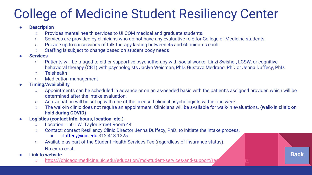## College of Medicine Student Resiliency Center

#### **Description**

- Provides mental health services to UI COM medical and graduate students.
- Services are provided by clinicians who do not have any evaluative role for College of Medicine students.
- Provide up to six sessions of talk therapy lasting between 45 and 60 minutes each.
- Staffing is subject to change based on student body needs
- **Services** 
	- Patients will be triaged to either supportive psychotherapy with social worker Linzi Swisher, LCSW, or cognitive behavioral therapy (CBT) with psychologists Jaclyn Weisman, PhD, Gustavo Medrano, PhD or Jenna Duffecy, PhD.
	- Telehealth
	- Medication management
- Timing/Availability
	- Appointments can be scheduled in advance or on an as-needed basis with the patient's assigned provider, which will be determined after the intake evaluation.
	- An evaluation will be set up with one of the licensed clinical psychologists within one week.
	- The walk-in clinic does not require an appointment. Clinicians will be available for walk-in evaluations. (walk-in clinic on hold during COVID)

Back

- Logistics (contact info, hours, location, etc.)
	- Location: 1601 W. Taylor Street Room 441
	- Contact: contact Resiliency Clinic Director Jenna Duffecy, PhD. to initiate the intake process.
		- iduffecy@uic.edu 312-413-1225
	- Available as part of the Student Health Services Fee (regardless of insurance status). No extra cost.
- **Link to website** 
	- https://chicago.medicine.uic.edu/education/md-student-services-and-support/re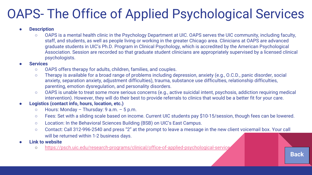## OAPS- The Office of Applied Psychological Services

#### **Description**

○ OAPS is a mental health clinic in the Psychology Department at UIC. OAPS serves the UIC community, including faculty, staff, and students, as well as people living or working in the greater Chicago area. Clinicians at OAPS are advanced graduate students in UIC's Ph.D. Program in Clinical Psychology, which is accredited by the American Psychological Association. Session are recorded so that graduate student clinicians are appropriately supervised by a licensed clinical psychologists.

#### **Services**

- OAPS offers therapy for adults, children, families, and couples.
- Therapy is available for a broad range of problems including depression, anxiety (e.g., O.C.D., panic disorder, social anxiety, separation anxiety, adjustment difficulties), trauma, substance use difficulties, relationship difficulties, parenting, emotion dysregulation, and personality disorders.
- OAPS is unable to treat some more serious concerns (e.g., active suicidal intent, psychosis, addiction requiring medical intervention). However, they will do their best to provide referrals to clinics that would be a better fit for your care.
- Logistics (contact info, hours, location, etc.)
	- $\circ$  Hours: Monday Thursday: 9 a.m. 5 p.m.
	- Fees: Set with a sliding scale based on income. Current UIC students pay \$10-15/session, though fees can be lowered.
	- Location: In the Behavioral Sciences Building (BSB) on UIC's East Campus.
	- Contact: Call 312-996-2540 and press "2" at the prompt to leave a message in the new client voicemail box. Your call will be returned within 1-2 business days.

Back

#### **Link to website**

o https://psch.uic.edu/research-programs/clinical/office-of-applied-psychological-service